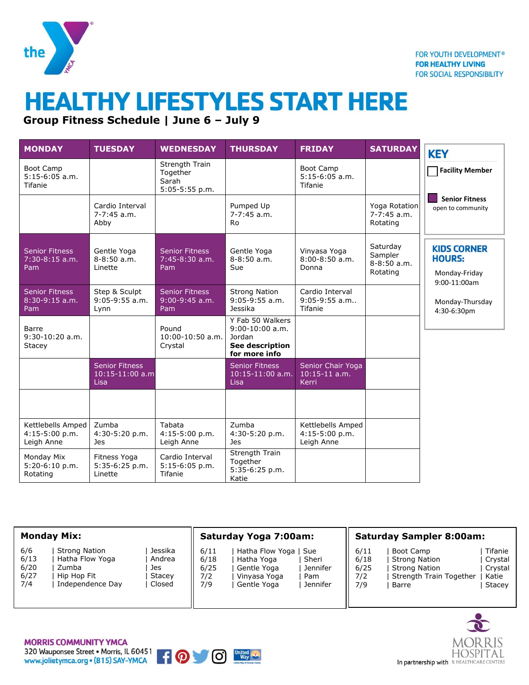

## **HEALTHY LIFESTYLES START HERE**

**Group Fitness Schedule | June 6 – July 9**

| <b>MONDAY</b>                                     | <b>TUESDAY</b>                                     | <b>WEDNESDAY</b>                                      | <b>THURSDAY</b>                                                                     | <b>FRIDAY</b>                                      | <b>SATURDAY</b>                                    | <b>KEY</b>                                                           |  |
|---------------------------------------------------|----------------------------------------------------|-------------------------------------------------------|-------------------------------------------------------------------------------------|----------------------------------------------------|----------------------------------------------------|----------------------------------------------------------------------|--|
| <b>Boot Camp</b><br>$5:15-6:05$ a.m.<br>Tifanie   |                                                    | Strength Train<br>Together<br>Sarah<br>5:05-5:55 p.m. |                                                                                     | <b>Boot Camp</b><br>$5:15-6:05$ a.m.<br>Tifanie    |                                                    | <b>Facility Member</b>                                               |  |
|                                                   | Cardio Interval<br>$7-7:45$ a.m.<br>Abby           |                                                       | Pumped Up<br>$7-7:45$ a.m.<br>Ro                                                    |                                                    | Yoga Rotation<br>$7-7:45$ a.m.<br>Rotating         | <b>Senior Fitness</b><br>open to community                           |  |
| <b>Senior Fitness</b><br>$7:30-8:15$ a.m.<br>Pam  | Gentle Yoga<br>$8 - 8:50$ a.m.<br>Linette          | <b>Senior Fitness</b><br>7:45-8:30 a.m.<br>Pam        | Gentle Yoga<br>$8 - 8:50$ a.m.<br>Sue                                               | Vinyasa Yoga<br>$8:00-8:50$ a.m.<br>Donna          | Saturday<br>Sampler<br>$8 - 8:50$ a.m.<br>Rotating | <b>KIDS CORNER</b><br><b>HOURS:</b><br>Monday-Friday<br>9:00-11:00am |  |
| <b>Senior Fitness</b><br>$8:30-9:15$ a.m.<br>Pam  | Step & Sculpt<br>$9:05-9:55$ a.m.<br>Lynn          | <b>Senior Fitness</b><br>$9:00-9:45$ a.m.<br>Pam      | <b>Strong Nation</b><br>$9:05-9:55$ a.m.<br>Jessika                                 | Cardio Interval<br>9:05-9:55 a.m<br><b>Tifanie</b> |                                                    | Monday-Thursday<br>4:30-6:30pm                                       |  |
| Barre<br>9:30-10:20 a.m.<br>Stacey                |                                                    | Pound<br>10:00-10:50 a.m.<br>Crystal                  | Y Fab 50 Walkers<br>$9:00-10:00$ a.m.<br>Jordan<br>See description<br>for more info |                                                    |                                                    |                                                                      |  |
|                                                   | <b>Senior Fitness</b><br>$10:15-11:00$ a.m<br>Lisa |                                                       | <b>Senior Fitness</b><br>$10:15-11:00$ a.m.<br>Lisa                                 | Senior Chair Yoga<br>$10:15-11$ a.m.<br>Kerri      |                                                    |                                                                      |  |
|                                                   |                                                    |                                                       |                                                                                     |                                                    |                                                    |                                                                      |  |
| Kettlebells Amped<br>4:15-5:00 p.m.<br>Leigh Anne | Zumba<br>4:30-5:20 p.m.<br><b>Jes</b>              | Tabata<br>$4:15-5:00 p.m.$<br>Leigh Anne              | Zumba<br>4:30-5:20 p.m.<br>Jes                                                      | Kettlebells Amped<br>4:15-5:00 p.m.<br>Leigh Anne  |                                                    |                                                                      |  |
| Monday Mix<br>5:20-6:10 p.m.<br>Rotating          | Fitness Yoga<br>5:35-6:25 p.m.<br>Linette          | Cardio Interval<br>5:15-6:05 p.m.<br>Tifanie          | Strength Train<br>Together<br>5:35-6:25 p.m.<br>Katie                               |                                                    |                                                    |                                                                      |  |

| <b>Monday Mix:</b> |                      |         | <b>Saturday Yoga 7:00am:</b> |                 |          | <b>Saturday Sampler 8:00am:</b> |                         |         |  |
|--------------------|----------------------|---------|------------------------------|-----------------|----------|---------------------------------|-------------------------|---------|--|
| 6/6                | <b>Strong Nation</b> | Jessika | 6/11                         | Hatha Flow Yoga | l Sue    | 6/11                            | Boot Camp               | Tifanie |  |
| 6/13               | Hatha Flow Yoga      | Andrea  | 6/18                         | Hatha Yoga      | Sheri    | 6/18                            | Strong Nation           | Crystal |  |
| 6/20               | Zumba                | Jes     | 6/25                         | Gentle Yoga     | Jennifer | 6/25                            | Strong Nation           | Crystal |  |
| 6/27               | Hip Hop Fit          | Stacey  | 7/2                          | Vinyasa Yoga    | Pam      | 7/2                             | Strength Train Together | Katie   |  |
| 7/4                | Independence Day     | Closed  | 7/9                          | Gentle Yoga     | Jennifer | 7/9                             | Barre                   | Stacey  |  |